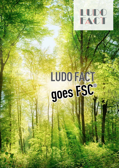

# LUDO FACT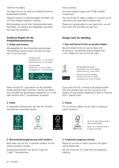Verehrter Kunde(in),

Sie haben bei uns ein Spiel aus FSC® zertifizierten Bestandteilen bestellt.

Dadurch müssen wir gewisse Regeln einhalten, die wir Ihnen folgend erläutern möchten.

Bitte platzieren sie auf Ihrer Spieleschachtel einen Platzhalter, wir werden das endgültige Logo dann bei Ludo Fact einsetzen

#### **Grafische Regeln für die Produktkennzeichnung:**

#### **1. Größe und Format:**

Mindestgröße für alle Produktkennzeichnungen. Alle Elemente müssen lesbar und das FSC-Logo min. 6 mm hoch sein:

> Standard Logo: Hochformat min. 17 mm Breite Querformat min. 12 mm Höhe

Standard label: Portrait min. 17 mm in width Landscape min. 12 mm in height



Wenn Sie das FSC Logo kleiner als die Standard-Größe platziert haben möchten, können wir dieses (aus Gründen der garantierten Lesbarkeit) nur in S/W oder Pantone 626 C (Sonderfarbe) umsetzen.

## **2. Farbe:**

In folgenden Farbvarianten darf das FSC-Produktkennzeichen verwendet werden:







## **3. Warenzeichenregistrierung nach Ländern:**

Bitte teilen Sie uns mit, in welchen Ländern Sie Ihre Spiele vertreiben werden.

Entsprechend werden wir das FSC-Logo mit <sup>®</sup> oder ™ kennzeichnen.

Dear customer,

you have ordered a game with FSC® certified components.

The use of the FSC label is subject to a certain set of rules which we would like to explain here.

Please put a placeholder on your game box, we will then insert the final label at Ludo Fact.

# **Design rules for labelling:**

## **1. Size and format of the on-product labels:**

Recommended minimum size for label with all elements. All elements shall be legible with a min. height of 6 mm for the FSC sign:



Mindesgröße der Logos Hochformat min. 9 mm Breite Querformat min. 6 mm Höhe



Minimum size for all labels Portrait min. 9 mm in width Landscape min. 6 mm in height

If you want the FSC marking to be placed smaller than the standard size, we can only print it (for reasons of guaranteed readability) in B/W or Pantone 626 C (special color).

# **2. Colour:**

FSC on-product lables may be used in following colour variations:



Grün (4c oder Pantone 626 C ) oder schwarz/weiß

green (4c or Pantone 626 C) or black and white

## **3. Trademark usage by country:**

Please let us know in which countries the game will be distributed.

We will create the FSC label with the respective marking.